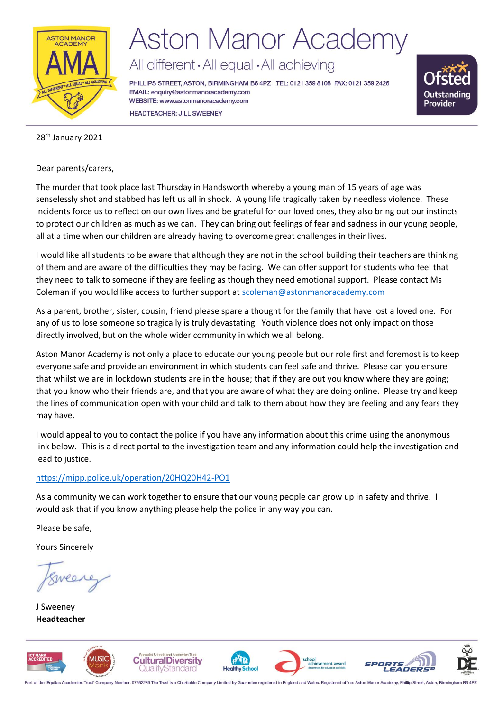

# **Aston Manor Academy**

All different · All equal · All achieving

PHILLIPS STREET, ASTON, BIRMINGHAM B6 4PZ TEL: 0121 359 8108 FAX: 0121 359 2426 EMAIL: enquiry@astonmanoracademy.com WEBSITE: www.astonmanoracademy.com **HEADTEACHER: JILL SWEENEY** 



#### 28<sup>th</sup> January 2021

Dear parents/carers,

The murder that took place last Thursday in Handsworth whereby a young man of 15 years of age was senselessly shot and stabbed has left us all in shock. A young life tragically taken by needless violence. These incidents force us to reflect on our own lives and be grateful for our loved ones, they also bring out our instincts to protect our children as much as we can. They can bring out feelings of fear and sadness in our young people, all at a time when our children are already having to overcome great challenges in their lives.

I would like all students to be aware that although they are not in the school building their teachers are thinking of them and are aware of the difficulties they may be facing. We can offer support for students who feel that they need to talk to someone if they are feeling as though they need emotional support. Please contact Ms Coleman if you would like access to further support a[t scoleman@astonmanoracademy.com](mailto:scoleman@astonmanoracademy.com)

As a parent, brother, sister, cousin, friend please spare a thought for the family that have lost a loved one. For any of us to lose someone so tragically is truly devastating. Youth violence does not only impact on those directly involved, but on the whole wider community in which we all belong.

Aston Manor Academy is not only a place to educate our young people but our role first and foremost is to keep everyone safe and provide an environment in which students can feel safe and thrive. Please can you ensure that whilst we are in lockdown students are in the house; that if they are out you know where they are going; that you know who their friends are, and that you are aware of what they are doing online. Please try and keep the lines of communication open with your child and talk to them about how they are feeling and any fears they may have.

I would appeal to you to contact the police if you have any information about this crime using the anonymous link below. This is a direct portal to the investigation team and any information could help the investigation and lead to justice.

#### <https://mipp.police.uk/operation/20HQ20H42-PO1>

As a community we can work together to ensure that our young people can grow up in safety and thrive. I would ask that if you know anything please help the police in any way you can.

Please be safe,

Yours Sincerely

J Sweeney **Headteacher**



Part of the 'Equitas Academies Trust' Company Number: 07662289 The Trust is a Charitable Company Limited by Guarantee registered in England and Wales. Registered office: Aston Manor Academy, Phillip Street, Aston, Birming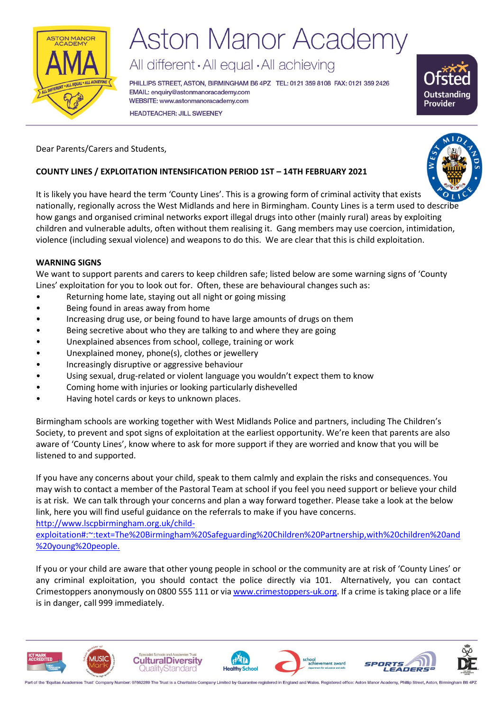

# **Aston Manor Academy**

All different · All equal · All achieving

PHILLIPS STREET, ASTON, BIRMINGHAM B6 4PZ TEL: 0121 359 8108 FAX: 0121 359 2426 EMAIL: enquiry@astonmanoracademy.com WEBSITE: www.astonmanoracademy.com **HEADTEACHER: JILL SWEENEY** 



Dear Parents/Carers and Students,

### **COUNTY LINES / EXPLOITATION INTENSIFICATION PERIOD 1ST – 14TH FEBRUARY 2021**

It is likely you have heard the term 'County Lines'. This is a growing form of criminal activity that exists nationally, regionally across the West Midlands and here in Birmingham. County Lines is a term used to describe how gangs and organised criminal networks export illegal drugs into other (mainly rural) areas by exploiting children and vulnerable adults, often without them realising it. Gang members may use coercion, intimidation, violence (including sexual violence) and weapons to do this. We are clear that this is child exploitation.

#### **WARNING SIGNS**

We want to support parents and carers to keep children safe; listed below are some warning signs of 'County Lines' exploitation for you to look out for. Often, these are behavioural changes such as:

- Returning home late, staying out all night or going missing
- Being found in areas away from home
- Increasing drug use, or being found to have large amounts of drugs on them
- Being secretive about who they are talking to and where they are going
- Unexplained absences from school, college, training or work
- Unexplained money, phone(s), clothes or jewellery
- Increasingly disruptive or aggressive behaviour
- Using sexual, drug-related or violent language you wouldn't expect them to know
- Coming home with injuries or looking particularly dishevelled
- Having hotel cards or keys to unknown places.

Birmingham schools are working together with West Midlands Police and partners, including The Children's Society, to prevent and spot signs of exploitation at the earliest opportunity. We're keen that parents are also aware of 'County Lines', know where to ask for more support if they are worried and know that you will be listened to and supported.

If you have any concerns about your child, speak to them calmly and explain the risks and consequences. You may wish to contact a member of the Pastoral Team at school if you feel you need support or believe your child is at risk. We can talk through your concerns and plan a way forward together. Please take a look at the below link, here you will find useful guidance on the referrals to make if you have concerns.

[http://www.lscpbirmingham.org.uk/child-](http://www.lscpbirmingham.org.uk/child-exploitation#:~:text=The%20Birmingham%20Safeguarding%20Children%20Partnership,with%20children%20and%20young%20people.)

[exploitation#:~:text=The%20Birmingham%20Safeguarding%20Children%20Partnership,with%20children%20and](http://www.lscpbirmingham.org.uk/child-exploitation#:~:text=The%20Birmingham%20Safeguarding%20Children%20Partnership,with%20children%20and%20young%20people.) [%20young%20people.](http://www.lscpbirmingham.org.uk/child-exploitation#:~:text=The%20Birmingham%20Safeguarding%20Children%20Partnership,with%20children%20and%20young%20people.)

If you or your child are aware that other young people in school or the community are at risk of 'County Lines' or any criminal exploitation, you should contact the police directly via 101. Alternatively, you can contact Crimestoppers anonymously on 0800 555 111 or vi[a www.crimestoppers-uk.org.](http://www.crimestoppers-uk.org/) If a crime is taking place or a life is in danger, call 999 immediately.